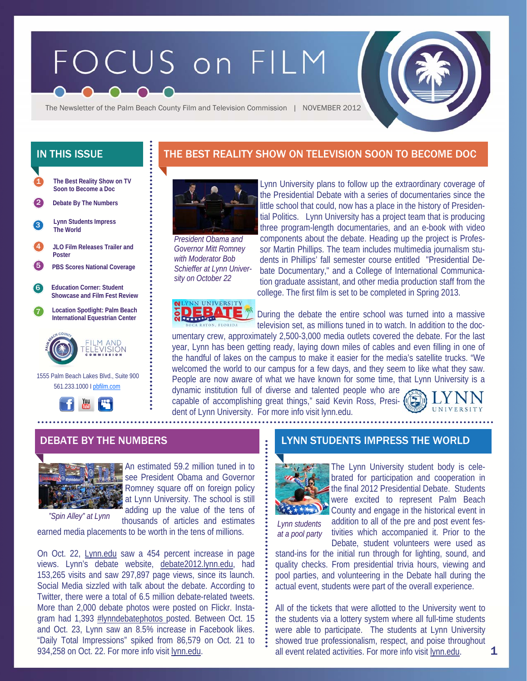# FOCUS on FILM

The Newsletter of the Palm Beach County Film and Television Commission | NOVEMBER 2012

- **The Best Reality Show on TV Soon to Become a Doc Lynn Students Impress The World**  1 2 3 **Debate By The Numbers**
- 4 **JLO Film Releases Trailer and Poster**
- 5 **PBS Scores National Coverage**
- 6 **Education Corner: Student Showcase and Film Fest Review**
- 7 **Location Spotlight: Palm Beach International Equestrian Center**



 1555 Palm Beach Lakes Blvd., Suite 900 561.233.1000 I pbfilm.com



# IN THIS ISSUE THE BEST REALITY SHOW ON TELEVISION SOON TO BECOME DOC



*President Obama and Governor Mitt Romney with Moderator Bob Schieffer at Lynn University on October 22* 



Lynn University plans to follow up the extraordinary coverage of the Presidential Debate with a series of documentaries since the little school that could, now has a place in the history of Presidential Politics. Lynn University has a project team that is producing three program-length documentaries, and an e-book with video components about the debate. Heading up the project is Professor Martin Phillips. The team includes multimedia journalism students in Phillips' fall semester course entitled "Presidential Debate Documentary," and a College of International Communication graduate assistant, and other media production staff from the college. The first film is set to be completed in Spring 2013.



During the debate the entire school was turned into a massive television set, as millions tuned in to watch. In addition to the doc-

umentary crew, approximately 2,500-3,000 media outlets covered the debate. For the last year, Lynn has been getting ready, laying down miles of cables and even filling in one of the handful of lakes on the campus to make it easier for the media's satellite trucks. "We welcomed the world to our campus for a few days, and they seem to like what they saw. People are now aware of what we have known for some time, that Lynn University is a dynamic institution full of diverse and talented people who are

capable of accomplishing great things," said Kevin Ross, President of Lynn University. For more info visit lynn.edu.





An estimated 59.2 million tuned in to see President Obama and Governor Romney square off on foreign policy at Lynn University. The school is still adding up the value of the tens of

thousands of articles and estimates *"Spin Alley" at Lynn* 

earned media placements to be worth in the tens of millions.

On Oct. 22, Lynn.edu saw a 454 percent increase in page views. Lynn's debate website, debate2012.lynn.edu, had 153,265 visits and saw 297,897 page views, since its launch. Social Media sizzled with talk about the debate. According to Twitter, there were a total of 6.5 million debate-related tweets. More than 2,000 debate photos were posted on Flickr. Instagram had 1,393 #lynndebatephotos posted. Between Oct. 15 and Oct. 23, Lynn saw an 8.5% increase in Facebook likes. "Daily Total Impressions" spiked from 86,579 on Oct. 21 to 934,258 on Oct. 22. For more info visit lynn.edu.

# DEBATE BY THE NUMBERS LYNN STUDENTS IMPRESS THE WORLD



The Lynn University student body is celebrated for participation and cooperation in the final 2012 Presidential Debate. Students were excited to represent Palm Beach County and engage in the historical event in

*Lynn students at a pool party* 

addition to all of the pre and post event festivities which accompanied it. Prior to the Debate, student volunteers were used as

stand-ins for the initial run through for lighting, sound, and quality checks. From presidential trivia hours, viewing and pool parties, and volunteering in the Debate hall during the actual event, students were part of the overall experience.

All of the tickets that were allotted to the University went to the students via a lottery system where all full-time students were able to participate. The students at Lynn University showed true professionalism, respect, and poise throughout all event related activities. For more info visit lynn.edu.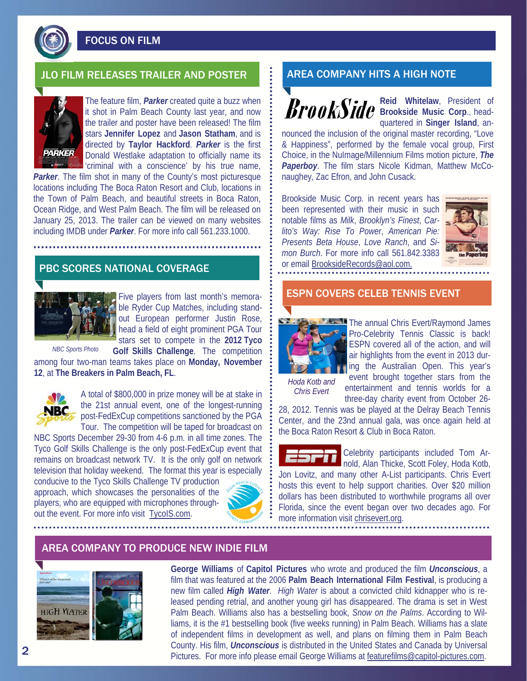

FOCUS ON FILM

## JLO FILM RELEASES TRAILER AND POSTER **AREA COMPANY HITS A HIGH NOTE**



The feature film, *Parker* created quite a buzz when it shot in Palm Beach County last year, and now the trailer and poster have been released! The film stars **Jennifer Lopez** and **Jason Statham**, and is directed by **Taylor Hackford***. Parker* is the first Donald Westlake adaptation to officially name its 'criminal with a conscience' by his true name,

*Parker*. The film shot in many of the County's most picturesque locations including The Boca Raton Resort and Club, locations in the Town of Palm Beach, and beautiful streets in Boca Raton, Ocean Ridge, and West Palm Beach. The film will be released on January 25, 2013. The trailer can be viewed on many websites including IMDB under *Parker*. For more info call 561.233.1000.

## PBC SCORES NATIONAL COVERAGE



Five players from last month's memorable Ryder Cup Matches, including standout European performer Justin Rose, head a field of eight prominent PGA Tour stars set to compete in the **2012 Tyco** 

**Golf Skills Challenge**. The competition among four two-man teams takes place on **Monday, November 12**, at **The Breakers in Palm Beach, FL**. *NBC Sports Photo* 



A total of \$800,000 in prize money will be at stake in the 21st annual event, one of the longest-running post-FedExCup competitions sanctioned by the PGA Tour. The competition will be taped for broadcast on

NBC Sports December 29-30 from 4-6 p.m. in all time zones. The Tyco Golf Skills Challenge is the only post-FedExCup event that remains on broadcast network TV. It is the only golf on network television that holiday weekend. The format this year is especially

conducive to the Tyco Skills Challenge TV production approach, which showcases the personalities of the players, who are equipped with microphones throughout the event. For more info visit TycoIS.com.



**Reid Whitelaw**, President of **BrookSide** Brookside Music Corp., headquartered in **Singer Island**, an-

nounced the inclusion of the original master recording, "Love & Happiness", performed by the female vocal group, First Choice, in the NuImage/Millennium Films motion picture, *The Paperboy*. The film stars Nicole Kidman, Matthew McConaughey, Zac Efron, and John Cusack.

Brookside Music Corp. in recent years has been represented with their music in such notable films as *Milk*, *Brooklyn's Finest*, *Carlito's Way: Rise To Power*, *American Pie: Presents Beta House*, *Love Ranch*, and *Simon Burch*. For more info call 561.842.3383 or email BrooksideRecords@aol.com.



## ESPN COVERS CELEB TENNIS EVENT



**The annual Chris Evert/Raymond James** Pro-Celebrity Tennis Classic is back! ESPN covered all of the action, and will air highlights from the event in 2013 during the Australian Open. This year's

*Hoda Kotb and Chris Evert* 

event brought together stars from the entertainment and tennis worlds for a three-day charity event from October 26-

28, 2012. Tennis was be played at the Delray Beach Tennis Center, and the 23nd annual gala, was once again held at the Boca Raton Resort & Club in Boca Raton.

Celebrity participants included Tom Arnold, Alan Thicke, Scott Foley, Hoda Kotb, Jon Lovitz, and many other A-List participants. Chris Evert hosts this event to help support charities. Over \$20 million dollars has been distributed to worthwhile programs all over Florida, since the event began over two decades ago. For more information visit chrisevert.org.

## AREA COMPANY TO PRODUCE NEW INDIE FILM



. . . . . . . . . . . . . . . . . .

**George Williams** of **Capitol Pictures** who wrote and produced the film *Unconscious*, a film that was featured at the 2006 **Palm Beach International Film Festival**, is producing a new film called *High Water*. *High Water* is about a convicted child kidnapper who is released pending retrial, and another young girl has disappeared. The drama is set in West Palm Beach. Williams also has a bestselling book, *Snow on the Palms*. According to Williams, it is the #1 bestselling book (five weeks running) in Palm Beach. Williams has a slate of independent films in development as well, and plans on filming them in Palm Beach County. His film, *Unconscious* is distributed in the United States and Canada by Universal Pictures. For more info please email George Williams at featurefilms@capitol-pictures.com.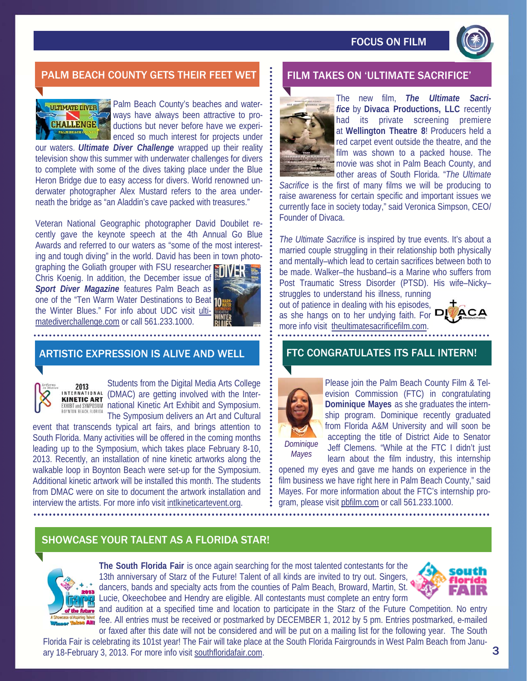

# PALM BEACH COUNTY GETS THEIR FEET WET FILM TAKES ON 'ULTIMATE SACRIFICE



Palm Beach County's beaches and waterways have always been attractive to productions but never before have we experienced so much interest for projects under

our waters. *Ultimate Diver Challenge* wrapped up their reality television show this summer with underwater challenges for divers to complete with some of the dives taking place under the Blue Heron Bridge due to easy access for divers. World renowned underwater photographer Alex Mustard refers to the area underneath the bridge as "an Aladdin's cave packed with treasures."

Veteran National Geographic photographer David Doubilet recently gave the keynote speech at the 4th Annual Go Blue Awards and referred to our waters as "some of the most interesting and tough diving" in the world. David has been in town photo-

graphing the Goliath grouper with FSU researcher Chris Koenig. In addition, the December issue of *Sport Diver Magazine* features Palm Beach as one of the "Ten Warm Water Destinations to Beat the Winter Blues." For info about UDC visit ultimatediverchallenge.com or call 561.233.1000.



# ARTISTIC EXPRESSION IS ALIVE AND WELL **FOLL FITC CONGRATULATES ITS FALL INTERN!**



2013

Students from the Digital Media Arts College **INTERNATIONAL (DMAC) are getting involved with the Inter-**EXHIBIT and SYMPOSIUM national Kinetic Art Exhibit and Symposium. The Symposium delivers an Art and Cultural

event that transcends typical art fairs, and brings attention to South Florida. Many activities will be offered in the coming months leading up to the Symposium, which takes place February 8-10, 2013. Recently, an installation of nine kinetic artworks along the walkable loop in Boynton Beach were set-up for the Symposium. Additional kinetic artwork will be installed this month. The students from DMAC were on site to document the artwork installation and interview the artists. For more info visit intlkineticartevent.org.



The new film, *The Ultimate Sacrifice* by **Divaca Productions, LLC** recently had its private screening premiere at **Wellington Theatre 8**! Producers held a red carpet event outside the theatre, and the film was shown to a packed house. The movie was shot in Palm Beach County, and other areas of South Florida. "*The Ultimate* 

*Sacrifice* is the first of many films we will be producing to raise awareness for certain specific and important issues we currently face in society today," said Veronica Simpson, CEO/ Founder of Divaca.

*The Ultimate Sacrifice* is inspired by true events. It's about a married couple struggling in their relationship both physically and mentally–which lead to certain sacrifices between both to be made. Walker–the husband–is a Marine who suffers from Post Traumatic Stress Disorder (PTSD). His wife–Nicky–

struggles to understand his illness, running out of patience in dealing with his episodes, as she hangs on to her undying faith. For more info visit theultimatesacrificefilm.com





Please join the Palm Beach County Film & Television Commission (FTC) in congratulating **Dominique Mayes** as she graduates the internship program. Dominique recently graduated from Florida A&M University and will soon be accepting the title of District Aide to Senator Jeff Clemens. "While at the FTC I didn't just

*Mayes* 

learn about the film industry, this internship opened my eyes and gave me hands on experience in the film business we have right here in Palm Beach County," said Mayes. For more information about the FTC's internship program, please visit pbfilm.com or call 561.233.1000.

## SHOWCASE YOUR TALENT AS A FLORIDA STAR!



**The South Florida Fair** is once again searching for the most talented contestants for the 13th anniversary of Starz of the Future! Talent of all kinds are invited to try out. Singers, dancers, bands and specialty acts from the counties of Palm Beach, Broward, Martin, St. Lucie, Okeechobee and Hendry are eligible. All contestants must complete an entry form and audition at a specified time and location to participate in the Starz of the Future Competition. No entry



fee. All entries must be received or postmarked by DECEMBER 1, 2012 by 5 pm. Entries postmarked, e-mailed or faxed after this date will not be considered and will be put on a mailing list for the following year. The South Florida Fair is celebrating its 101st year! The Fair will take place at the South Florida Fairgrounds in West Palm Beach from January 18-February 3, 2013. For more info visit southfloridafair.com.